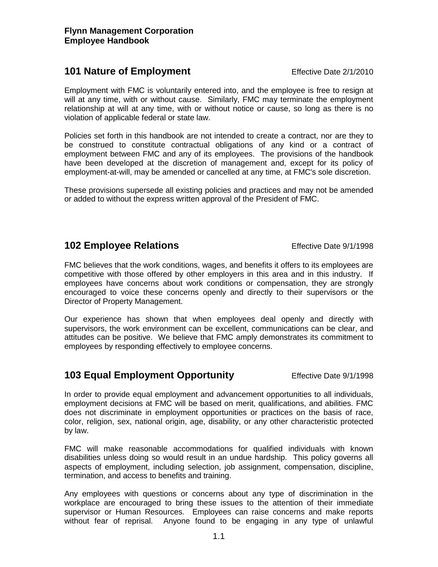## **101 Nature of Employment** Effective Date 2/1/2010

Employment with FMC is voluntarily entered into, and the employee is free to resign at will at any time, with or without cause. Similarly, FMC may terminate the employment relationship at will at any time, with or without notice or cause, so long as there is no violation of applicable federal or state law.

Policies set forth in this handbook are not intended to create a contract, nor are they to be construed to constitute contractual obligations of any kind or a contract of employment between FMC and any of its employees. The provisions of the handbook have been developed at the discretion of management and, except for its policy of employment-at-will, may be amended or cancelled at any time, at FMC's sole discretion.

These provisions supersede all existing policies and practices and may not be amended or added to without the express written approval of the President of FMC.

# **102 Employee Relations** Effective Date 9/1/1998

FMC believes that the work conditions, wages, and benefits it offers to its employees are competitive with those offered by other employers in this area and in this industry. If employees have concerns about work conditions or compensation, they are strongly encouraged to voice these concerns openly and directly to their supervisors or the Director of Property Management.

Our experience has shown that when employees deal openly and directly with supervisors, the work environment can be excellent, communications can be clear, and attitudes can be positive. We believe that FMC amply demonstrates its commitment to employees by responding effectively to employee concerns.

# **103 Equal Employment Opportunity** Effective Date 9/1/1998

In order to provide equal employment and advancement opportunities to all individuals, employment decisions at FMC will be based on merit, qualifications, and abilities. FMC does not discriminate in employment opportunities or practices on the basis of race, color, religion, sex, national origin, age, disability, or any other characteristic protected by law.

FMC will make reasonable accommodations for qualified individuals with known disabilities unless doing so would result in an undue hardship. This policy governs all aspects of employment, including selection, job assignment, compensation, discipline, termination, and access to benefits and training.

Any employees with questions or concerns about any type of discrimination in the workplace are encouraged to bring these issues to the attention of their immediate supervisor or Human Resources. Employees can raise concerns and make reports without fear of reprisal. Anyone found to be engaging in any type of unlawful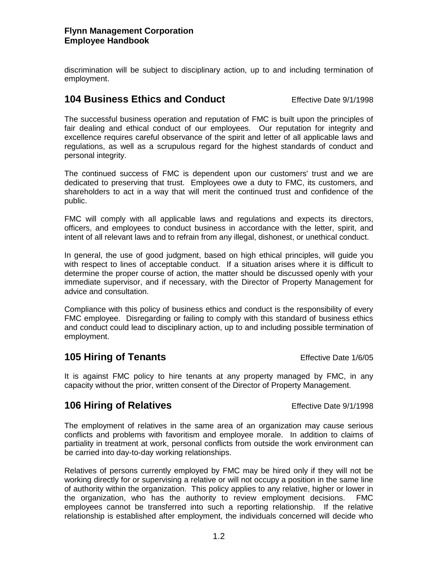The continued success of FMC is dependent upon our customers' trust and we are dedicated to preserving that trust. Employees owe a duty to FMC, its customers, and shareholders to act in a way that will merit the continued trust and confidence of the public.

discrimination will be subject to disciplinary action, up to and including termination of

The successful business operation and reputation of FMC is built upon the principles of fair dealing and ethical conduct of our employees. Our reputation for integrity and

FMC will comply with all applicable laws and regulations and expects its directors, officers, and employees to conduct business in accordance with the letter, spirit, and intent of all relevant laws and to refrain from any illegal, dishonest, or unethical conduct.

In general, the use of good judgment, based on high ethical principles, will guide you with respect to lines of acceptable conduct. If a situation arises where it is difficult to determine the proper course of action, the matter should be discussed openly with your immediate supervisor, and if necessary, with the Director of Property Management for advice and consultation.

Compliance with this policy of business ethics and conduct is the responsibility of every FMC employee. Disregarding or failing to comply with this standard of business ethics and conduct could lead to disciplinary action, up to and including possible termination of employment.

## **105 Hiring of Tenants** Effective Date 1/6/05

It is against FMC policy to hire tenants at any property managed by FMC, in any capacity without the prior, written consent of the Director of Property Management.

## **106 Hiring of Relatives** Effective Date 9/1/1998

The employment of relatives in the same area of an organization may cause serious conflicts and problems with favoritism and employee morale. In addition to claims of partiality in treatment at work, personal conflicts from outside the work environment can be carried into day-to-day working relationships.

Relatives of persons currently employed by FMC may be hired only if they will not be working directly for or supervising a relative or will not occupy a position in the same line of authority within the organization. This policy applies to any relative, higher or lower in the organization, who has the authority to review employment decisions. FMC employees cannot be transferred into such a reporting relationship. If the relative relationship is established after employment, the individuals concerned will decide who

#### **Flynn Management Corporation Employee Handbook**

employment.

personal integrity.

**104 Business Ethics and Conduct** Effective Date 9/1/1998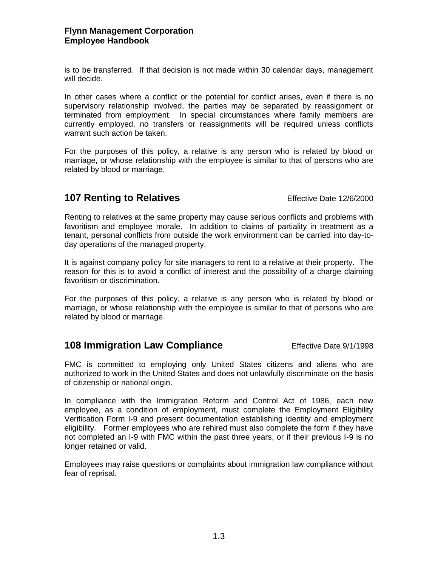#### **Flynn Management Corporation Employee Handbook**

is to be transferred. If that decision is not made within 30 calendar days, management will decide.

In other cases where a conflict or the potential for conflict arises, even if there is no supervisory relationship involved, the parties may be separated by reassignment or terminated from employment. In special circumstances where family members are currently employed, no transfers or reassignments will be required unless conflicts warrant such action be taken.

For the purposes of this policy, a relative is any person who is related by blood or marriage, or whose relationship with the employee is similar to that of persons who are related by blood or marriage.

# **107 Renting to Relatives Effective Date 12/6/2000**

Renting to relatives at the same property may cause serious conflicts and problems with favoritism and employee morale. In addition to claims of partiality in treatment as a tenant, personal conflicts from outside the work environment can be carried into day-today operations of the managed property.

It is against company policy for site managers to rent to a relative at their property. The reason for this is to avoid a conflict of interest and the possibility of a charge claiming favoritism or discrimination.

For the purposes of this policy, a relative is any person who is related by blood or marriage, or whose relationship with the employee is similar to that of persons who are related by blood or marriage.

## **108 Immigration Law Compliance** Effective Date 9/1/1998

FMC is committed to employing only United States citizens and aliens who are authorized to work in the United States and does not unlawfully discriminate on the basis of citizenship or national origin.

In compliance with the Immigration Reform and Control Act of 1986, each new employee, as a condition of employment, must complete the Employment Eligibility Verification Form I-9 and present documentation establishing identity and employment eligibility. Former employees who are rehired must also complete the form if they have not completed an I-9 with FMC within the past three years, or if their previous I-9 is no longer retained or valid.

Employees may raise questions or complaints about immigration law compliance without fear of reprisal.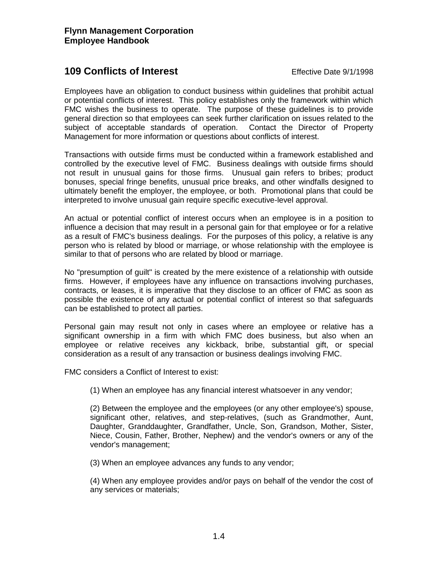## **109 Conflicts of Interest Effective Date 9/1/1998**

Employees have an obligation to conduct business within guidelines that prohibit actual or potential conflicts of interest. This policy establishes only the framework within which FMC wishes the business to operate. The purpose of these guidelines is to provide general direction so that employees can seek further clarification on issues related to the subject of acceptable standards of operation. Contact the Director of Property Management for more information or questions about conflicts of interest.

Transactions with outside firms must be conducted within a framework established and controlled by the executive level of FMC. Business dealings with outside firms should not result in unusual gains for those firms. Unusual gain refers to bribes; product bonuses, special fringe benefits, unusual price breaks, and other windfalls designed to ultimately benefit the employer, the employee, or both. Promotional plans that could be interpreted to involve unusual gain require specific executive-level approval.

An actual or potential conflict of interest occurs when an employee is in a position to influence a decision that may result in a personal gain for that employee or for a relative as a result of FMC's business dealings. For the purposes of this policy, a relative is any person who is related by blood or marriage, or whose relationship with the employee is similar to that of persons who are related by blood or marriage.

No "presumption of guilt" is created by the mere existence of a relationship with outside firms. However, if employees have any influence on transactions involving purchases, contracts, or leases, it is imperative that they disclose to an officer of FMC as soon as possible the existence of any actual or potential conflict of interest so that safeguards can be established to protect all parties.

Personal gain may result not only in cases where an employee or relative has a significant ownership in a firm with which FMC does business, but also when an employee or relative receives any kickback, bribe, substantial gift, or special consideration as a result of any transaction or business dealings involving FMC.

FMC considers a Conflict of Interest to exist:

(1) When an employee has any financial interest whatsoever in any vendor;

(2) Between the employee and the employees (or any other employee's) spouse, significant other, relatives, and step-relatives, (such as Grandmother, Aunt, Daughter, Granddaughter, Grandfather, Uncle, Son, Grandson, Mother, Sister, Niece, Cousin, Father, Brother, Nephew) and the vendor's owners or any of the vendor's management;

(3) When an employee advances any funds to any vendor;

(4) When any employee provides and/or pays on behalf of the vendor the cost of any services or materials;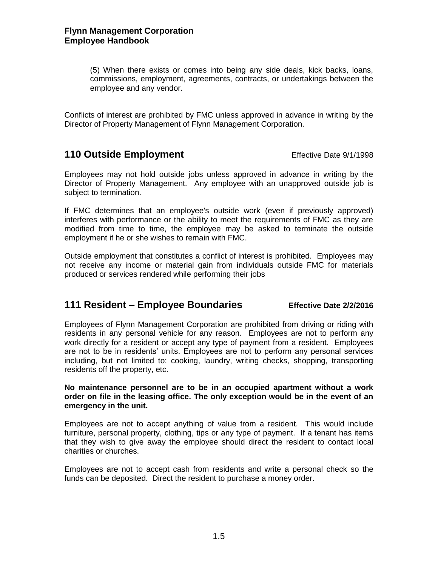(5) When there exists or comes into being any side deals, kick backs, loans, commissions, employment, agreements, contracts, or undertakings between the employee and any vendor.

Conflicts of interest are prohibited by FMC unless approved in advance in writing by the Director of Property Management of Flynn Management Corporation.

#### **110 Outside Employment** Effective Date 9/1/1998

Employees may not hold outside jobs unless approved in advance in writing by the Director of Property Management. Any employee with an unapproved outside job is subject to termination.

If FMC determines that an employee's outside work (even if previously approved) interferes with performance or the ability to meet the requirements of FMC as they are modified from time to time, the employee may be asked to terminate the outside employment if he or she wishes to remain with FMC.

Outside employment that constitutes a conflict of interest is prohibited. Employees may not receive any income or material gain from individuals outside FMC for materials produced or services rendered while performing their jobs

#### **111 Resident – Employee Boundaries Effective Date 2/2/2016**

Employees of Flynn Management Corporation are prohibited from driving or riding with residents in any personal vehicle for any reason. Employees are not to perform any work directly for a resident or accept any type of payment from a resident. Employees are not to be in residents' units. Employees are not to perform any personal services including, but not limited to: cooking, laundry, writing checks, shopping, transporting residents off the property, etc.

**No maintenance personnel are to be in an occupied apartment without a work order on file in the leasing office. The only exception would be in the event of an emergency in the unit.**

Employees are not to accept anything of value from a resident. This would include furniture, personal property, clothing, tips or any type of payment. If a tenant has items that they wish to give away the employee should direct the resident to contact local charities or churches.

Employees are not to accept cash from residents and write a personal check so the funds can be deposited. Direct the resident to purchase a money order.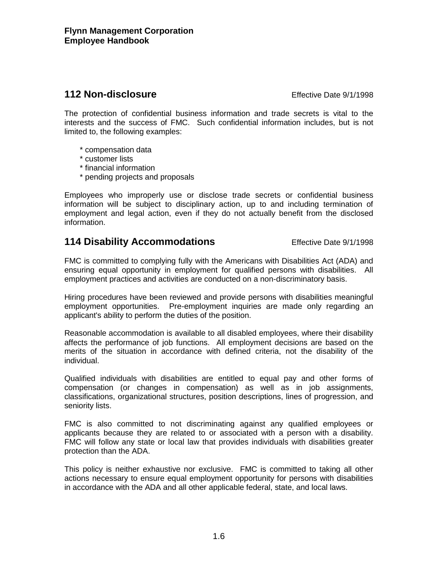# **112 Non-disclosure Effective Date 9/1/1998**

The protection of confidential business information and trade secrets is vital to the interests and the success of FMC. Such confidential information includes, but is not limited to, the following examples:

- \* compensation data
- \* customer lists
- \* financial information
- \* pending projects and proposals

Employees who improperly use or disclose trade secrets or confidential business information will be subject to disciplinary action, up to and including termination of employment and legal action, even if they do not actually benefit from the disclosed information.

# **114 Disability Accommodations** Effective Date 9/1/1998

FMC is committed to complying fully with the Americans with Disabilities Act (ADA) and ensuring equal opportunity in employment for qualified persons with disabilities. All employment practices and activities are conducted on a non-discriminatory basis.

Hiring procedures have been reviewed and provide persons with disabilities meaningful employment opportunities. Pre-employment inquiries are made only regarding an applicant's ability to perform the duties of the position.

Reasonable accommodation is available to all disabled employees, where their disability affects the performance of job functions. All employment decisions are based on the merits of the situation in accordance with defined criteria, not the disability of the individual.

Qualified individuals with disabilities are entitled to equal pay and other forms of compensation (or changes in compensation) as well as in job assignments, classifications, organizational structures, position descriptions, lines of progression, and seniority lists.

FMC is also committed to not discriminating against any qualified employees or applicants because they are related to or associated with a person with a disability. FMC will follow any state or local law that provides individuals with disabilities greater protection than the ADA.

This policy is neither exhaustive nor exclusive. FMC is committed to taking all other actions necessary to ensure equal employment opportunity for persons with disabilities in accordance with the ADA and all other applicable federal, state, and local laws.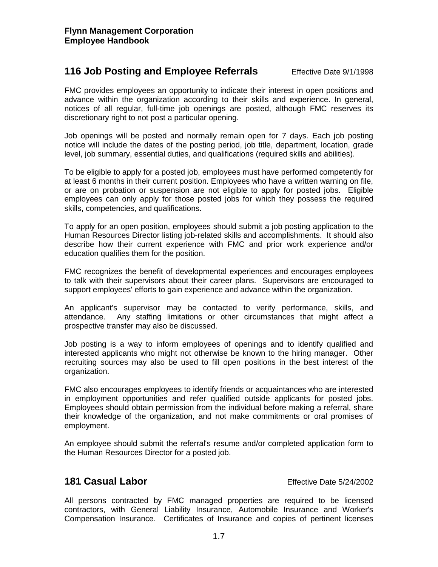## **116 Job Posting and Employee Referrals** Effective Date 9/1/1998

FMC provides employees an opportunity to indicate their interest in open positions and advance within the organization according to their skills and experience. In general, notices of all regular, full-time job openings are posted, although FMC reserves its discretionary right to not post a particular opening.

Job openings will be posted and normally remain open for 7 days. Each job posting notice will include the dates of the posting period, job title, department, location, grade level, job summary, essential duties, and qualifications (required skills and abilities).

To be eligible to apply for a posted job, employees must have performed competently for at least 6 months in their current position. Employees who have a written warning on file, or are on probation or suspension are not eligible to apply for posted jobs. Eligible employees can only apply for those posted jobs for which they possess the required skills, competencies, and qualifications.

To apply for an open position, employees should submit a job posting application to the Human Resources Director listing job-related skills and accomplishments. It should also describe how their current experience with FMC and prior work experience and/or education qualifies them for the position.

FMC recognizes the benefit of developmental experiences and encourages employees to talk with their supervisors about their career plans. Supervisors are encouraged to support employees' efforts to gain experience and advance within the organization.

An applicant's supervisor may be contacted to verify performance, skills, and attendance. Any staffing limitations or other circumstances that might affect a prospective transfer may also be discussed.

Job posting is a way to inform employees of openings and to identify qualified and interested applicants who might not otherwise be known to the hiring manager. Other recruiting sources may also be used to fill open positions in the best interest of the organization.

FMC also encourages employees to identify friends or acquaintances who are interested in employment opportunities and refer qualified outside applicants for posted jobs. Employees should obtain permission from the individual before making a referral, share their knowledge of the organization, and not make commitments or oral promises of employment.

An employee should submit the referral's resume and/or completed application form to the Human Resources Director for a posted job.

# **181 Casual Labor** Effective Date 5/24/2002

All persons contracted by FMC managed properties are required to be licensed contractors, with General Liability Insurance, Automobile Insurance and Worker's Compensation Insurance. Certificates of Insurance and copies of pertinent licenses